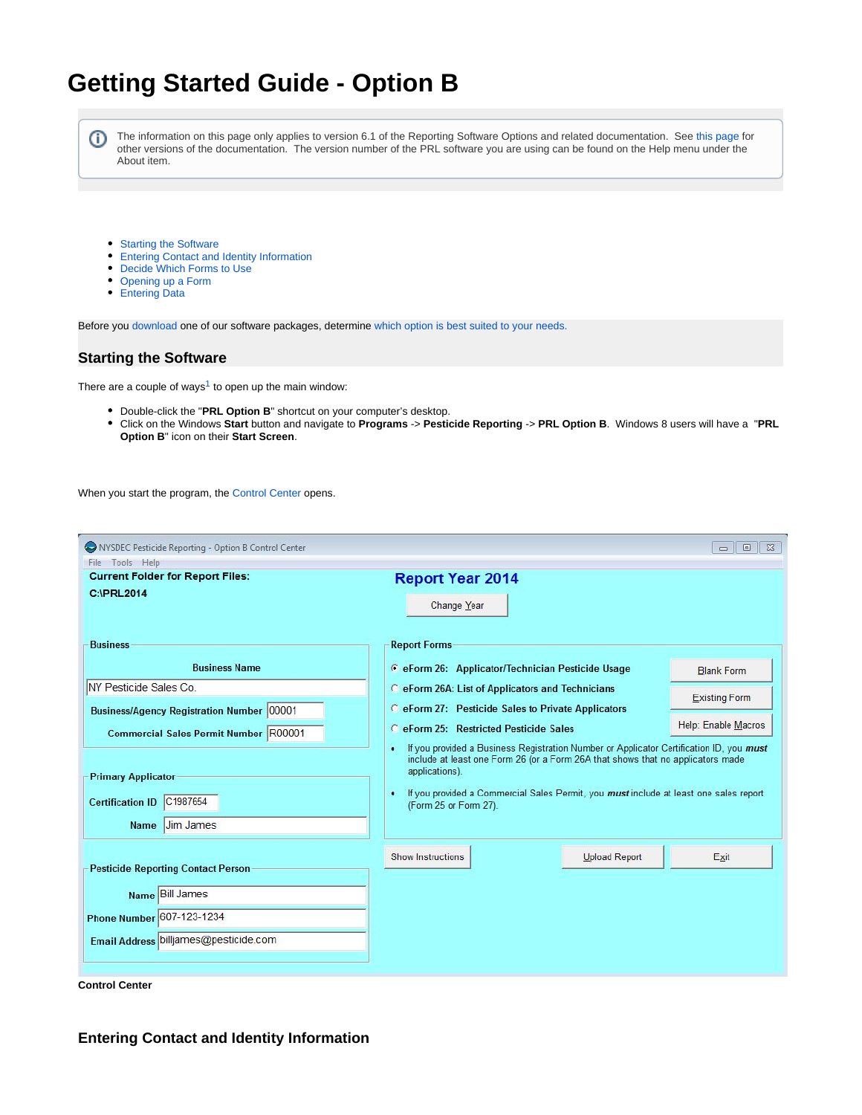# **Getting Started Guide - Option B**

⊕

The information on this page only applies to version 6.1 of the Reporting Software Options and related documentation. See [this page](http://sbdocs.psur.cornell.edu/display/PSBD/Documentation+Versions) for other versions of the documentation. The version number of the PRL software you are using can be found on the Help menu under the About item.

- [Starting the Software](#page-0-0)
- [Entering Contact and Identity Information](#page-0-1)
- [Decide Which Forms to Use](#page-1-0)
- [Opening up a Form](#page-1-1)
- [Entering Data](#page-2-0)

Before you [download](http://www.nysprl.com/ClientSoftware.htm) one of our software packages, determine [which option is best suited to your needs.](http://sbdocs.psur.cornell.edu/pages/viewpage.action?pageId=2490717)

### <span id="page-0-0"></span>**Starting the Software**

There are a couple of ways<sup>1</sup> to open up the main window:

- Double-click the "**PRL Option B**" shortcut on your computer's desktop.
- Click on the Windows **Start** button and navigate to **Programs** -> **Pesticide Reporting** -> **PRL Option B**. Windows 8 users will have a "**PRL Option B**" icon on their **Start Screen**.

When you start the program, the [Control Center](http://sbdocs.psur.cornell.edu/display/PSBD/Glossary#Glossary-ControlCenter) opens.

| NYSDEC Pesticide Reporting - Option B Control Center                                                                                                                                                                                                           | $\Box$ $\boxtimes$                                                                                                                                                                                                                                                                                                                                                                                                                                                                                                                                                                                                                  |
|----------------------------------------------------------------------------------------------------------------------------------------------------------------------------------------------------------------------------------------------------------------|-------------------------------------------------------------------------------------------------------------------------------------------------------------------------------------------------------------------------------------------------------------------------------------------------------------------------------------------------------------------------------------------------------------------------------------------------------------------------------------------------------------------------------------------------------------------------------------------------------------------------------------|
| File Tools Help                                                                                                                                                                                                                                                | $\qquad \qquad \Box$                                                                                                                                                                                                                                                                                                                                                                                                                                                                                                                                                                                                                |
| <b>Current Folder for Report Files:</b>                                                                                                                                                                                                                        | <b>Report Year 2014</b>                                                                                                                                                                                                                                                                                                                                                                                                                                                                                                                                                                                                             |
| <b>C:IPRL2014</b>                                                                                                                                                                                                                                              | Change Year                                                                                                                                                                                                                                                                                                                                                                                                                                                                                                                                                                                                                         |
| <b>Business</b><br><b>Business Name</b><br>NY Pesticide Sales Co.<br><b>Business/Agency Registration Number 00001</b><br>Commercial Sales Permit Number R00001<br><b>Primary Applicator</b><br>C1987654<br><b>Certification ID</b><br><b>Jim James</b><br>Name | <b>Report Forms</b><br>C eForm 26: Applicator/Technician Pesticide Usage<br><b>Blank Form</b><br>C eForm 26A: List of Applicators and Technicians<br><b>Existing Form</b><br>C eForm 27: Pesticide Sales to Private Applicators<br>Help: Enable Macros<br><b>C</b> eForm 25: Restricted Pesticide Sales<br>If you provided a Business Registration Number or Applicator Certification ID, you must<br>٠<br>include at least one Form 26 (or a Form 26A that shows that no applicators made<br>applications).<br>If you provided a Commercial Sales Permit, you must include at least one sales report<br>٠<br>(Form 25 or Form 27). |
| <b>Pesticide Reporting Contact Person</b><br>Name Bill James<br>Phone Number 607-123-1234<br>Email Address billjames@pesticide.com                                                                                                                             | Show Instructions<br><b>Upload Report</b><br>Exit                                                                                                                                                                                                                                                                                                                                                                                                                                                                                                                                                                                   |

**Control Center**

<span id="page-0-1"></span>**Entering Contact and Identity Information**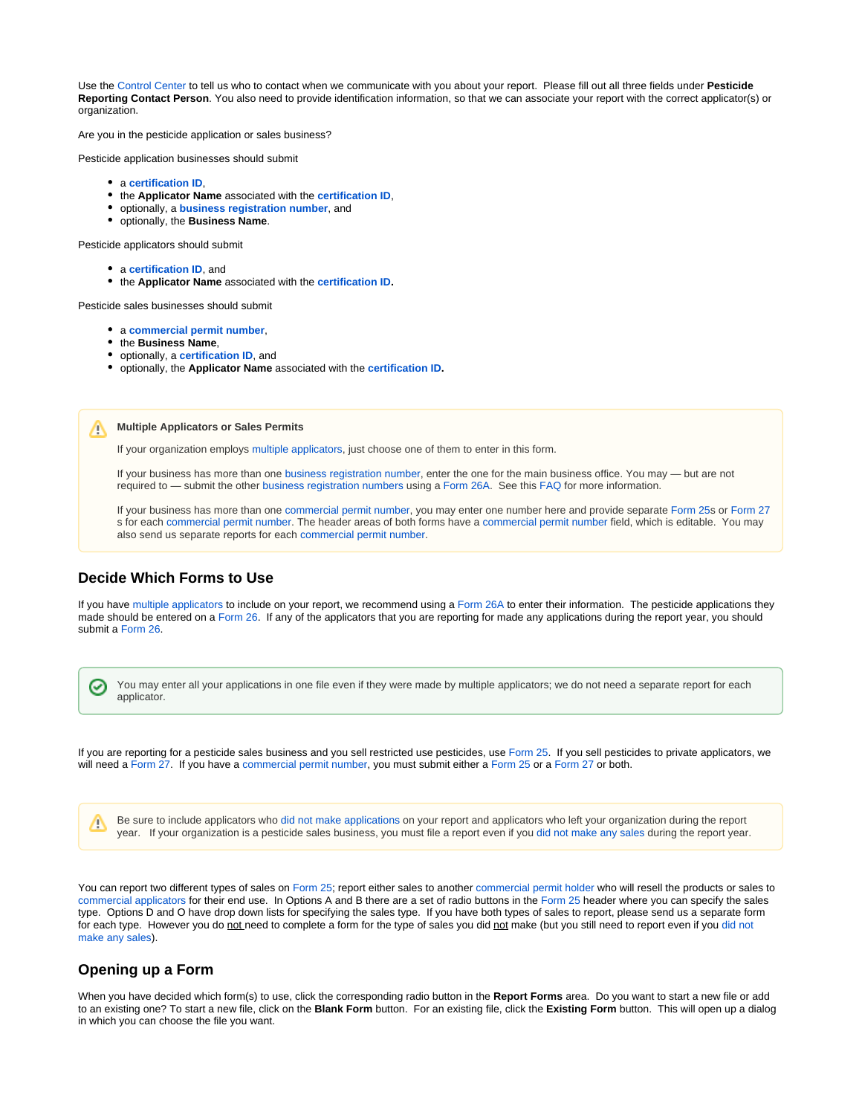Use the [Control Center](http://sbdocs.psur.cornell.edu/display/PSBD/Glossary#Glossary-ControlCenter) to tell us who to contact when we communicate with you about your report. Please fill out all three fields under **Pesticide Reporting Contact Person**. You also need to provide identification information, so that we can associate your report with the correct applicator(s) or organization.

Are you in the pesticide application or sales business?

Pesticide application businesses should submit

- a **[certification ID](http://sbdocs.psur.cornell.edu/display/PSBD/Glossary#Glossary-CertificationNumber)**,
- the **Applicator Name** associated with the **[certification ID](http://sbdocs.psur.cornell.edu/display/PSBD/Glossary#Glossary-CertificationNumber)**,
- optionally, a **[business registration](http://sbdocs.psur.cornell.edu/display/PSBD/Glossary#Glossary-BusinessRegistrationNumber) number**, and
- optionally, the **Business Name**.

Pesticide applicators should submit

- a **[certification ID](http://sbdocs.psur.cornell.edu/display/PSBD/Glossary#Glossary-CertificationNumber)**, and
- the **Applicator Name** associated with the **[certification ID.](http://sbdocs.psur.cornell.edu/display/PSBD/Glossary#Glossary-CertificationNumber)**

Pesticide sales businesses should submit

- a **[commercial permit number](http://sbdocs.psur.cornell.edu/display/PSBD/Glossary#Glossary-Permittee)**,
- the **Business Name**,
- optionally, a **[certification ID](http://sbdocs.psur.cornell.edu/display/PSBD/Glossary#Glossary-CertificationNumber)**, and
- optionally, the **Applicator Name** associated with the **[certification ID.](http://sbdocs.psur.cornell.edu/display/PSBD/Glossary#Glossary-CertificationNumber)**

**Multiple Applicators or Sales Permits** ╱╲

If your organization employs [multiple applicators](http://sbdocs.psur.cornell.edu/display/LIB61/Reporting+for+Multiple+Applicators), just choose one of them to enter in this form.

If your business has more than one [business registration number,](http://sbdocs.psur.cornell.edu/display/PSBD/Glossary#Glossary-BusinessRegistrationNumber) enter the one for the main business office. You may — but are not required to — submit the other [business registration numbers](http://sbdocs.psur.cornell.edu/display/PSBD/Glossary#Glossary-BusinessRegistrationNumber) using a [Form 26A.](http://sbdocs.psur.cornell.edu/display/PSBD/Glossary#Glossary-Form26A) See this [FAQ](http://sbdocs.psur.cornell.edu/pages/viewpage.action?pageId=1802356) for more information.

If your business has more than one [commercial permit number](http://sbdocs.psur.cornell.edu/display/PSBD/Glossary#Glossary-Permittee), you may enter one number here and provide separate [Form 25s](http://sbdocs.psur.cornell.edu/display/PSBD/Glossary#Glossary-Form25) or [Form 27](http://sbdocs.psur.cornell.edu/display/PSBD/Glossary#Glossary-Form27) s for each [commercial permit number](http://sbdocs.psur.cornell.edu/display/PSBD/Glossary#Glossary-Permittee). The header areas of both forms have a [commercial permit number](http://sbdocs.psur.cornell.edu/display/PSBD/Glossary#Glossary-Permittee) field, which is editable. You may also send us separate reports for each [commercial permit number](http://sbdocs.psur.cornell.edu/display/PSBD/Glossary#Glossary-Permittee).

#### <span id="page-1-0"></span>**Decide Which Forms to Use**

☑

If you have [multiple applicators](http://sbdocs.psur.cornell.edu/display/LIB61/Reporting+for+Multiple+Applicators) to include on your report, we recommend using a [Form 26A](http://sbdocs.psur.cornell.edu/display/PSBD/Glossary#Glossary-Form26A) to enter their information. The pesticide applications they made should be entered on a [Form 26](http://sbdocs.psur.cornell.edu/display/PSBD/Glossary#Glossary-Form26). If any of the applicators that you are reporting for made any applications during the report year, you should submit a [Form 26.](http://sbdocs.psur.cornell.edu/display/PSBD/Glossary#Glossary-Form26)

You may enter all your applications in one file even if they were made by multiple applicators; we do not need a separate report for each applicator.

If you are reporting for a pesticide sales business and you sell restricted use pesticides, use [Form 25](http://sbdocs.psur.cornell.edu/display/PSBD/Glossary#Glossary-Form25). If you sell pesticides to private applicators, we will need a [Form 27.](http://sbdocs.psur.cornell.edu/display/PSBD/Glossary#Glossary-Form27) If you have a [commercial permit number](http://sbdocs.psur.cornell.edu/display/PSBD/Glossary#Glossary-Permittee), you must submit either a [Form 25](http://sbdocs.psur.cornell.edu/display/PSBD/Glossary#Glossary-Form25) or a [Form 27](http://sbdocs.psur.cornell.edu/display/PSBD/Glossary#Glossary-Form27) or both.

Be sure to include applicators who [did not make applications](http://sbdocs.psur.cornell.edu/display/LIB61/Reporting+No+Applications+or+Sales) on your report and applicators who left your organization during the report ╱╲ year. If your organization is a pesticide sales business, you must file a report even if you [did not make any sales](http://sbdocs.psur.cornell.edu/display/LIB61/Reporting+No+Applications+or+Sales) during the report year.

You can report two different types of sales on [Form 25](http://sbdocs.psur.cornell.edu/display/PSBD/Glossary#Glossary-Form25); report either sales to another [commercial permit holder](http://sbdocs.psur.cornell.edu/display/PSBD/Glossary#Glossary-Permittee) who will resell the products or sales to [commercial applicators](http://sbdocs.psur.cornell.edu/display/PSBD/Glossary#Glossary-CommercialApplicator) for their end use. In Options A and B there are a set of radio buttons in the [Form 25](http://sbdocs.psur.cornell.edu/display/PSBD/Glossary#Glossary-Form25) header where you can specify the sales type. Options D and O have drop down lists for specifying the sales type. If you have both types of sales to report, please send us a separate form for each type. However you do not need to complete a form for the type of sales you [did not](http://sbdocs.psur.cornell.edu/display/LIB61/Reporting+No+Applications+or+Sales) make (but you still need to report even if you did not [make any sales\)](http://sbdocs.psur.cornell.edu/display/LIB61/Reporting+No+Applications+or+Sales).

#### <span id="page-1-1"></span>**Opening up a Form**

When you have decided which form(s) to use, click the corresponding radio button in the **Report Forms** area. Do you want to start a new file or add to an existing one? To start a new file, click on the **Blank Form** button. For an existing file, click the **Existing Form** button. This will open up a dialog in which you can choose the file you want.